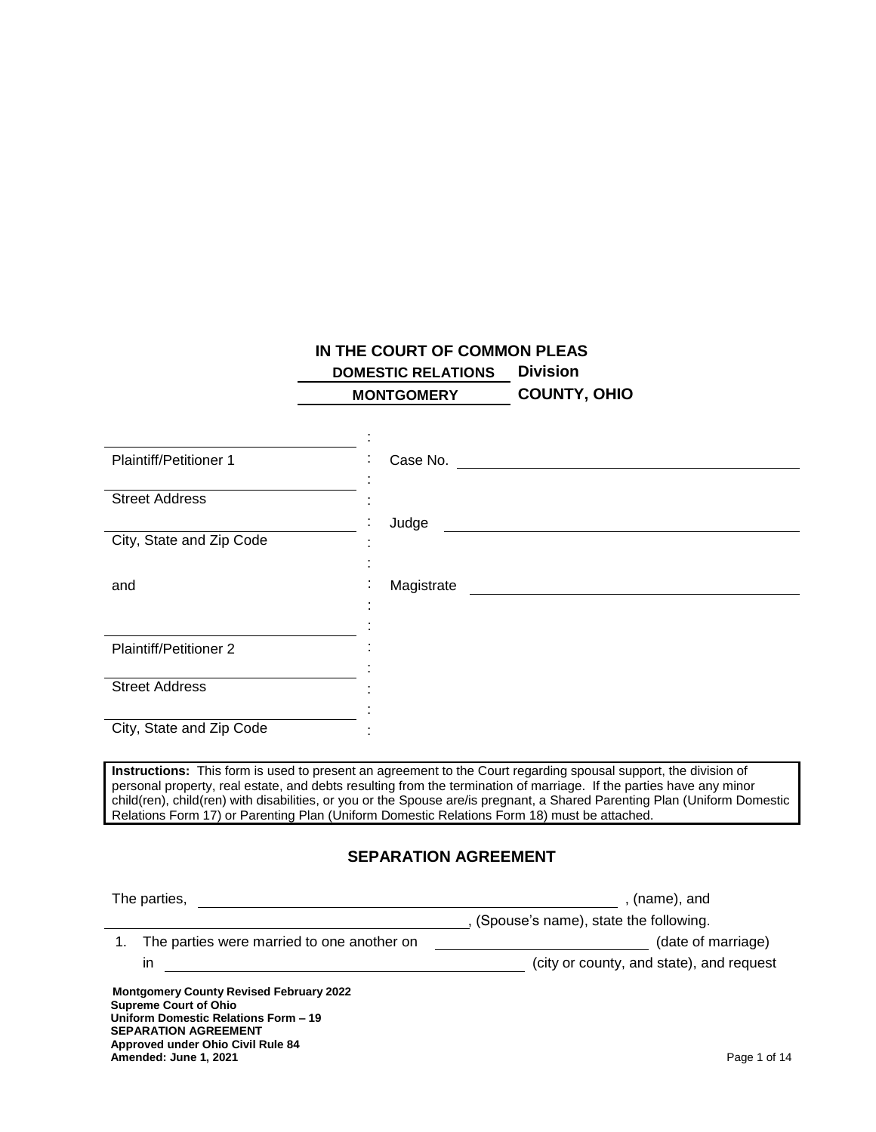# **IN THE COURT OF COMMON PLEAS DOMESTIC RELATIONS Division**

 **MONTGOMERY COUNTY, OHIO**

| <b>Plaintiff/Petitioner 1</b>                                                  |                                                                                                                                                                                                                          |
|--------------------------------------------------------------------------------|--------------------------------------------------------------------------------------------------------------------------------------------------------------------------------------------------------------------------|
| <b>Street Address</b>                                                          |                                                                                                                                                                                                                          |
|                                                                                | Judge<br><u> 1989 - Johann Harry Harry Harry Harry Harry Harry Harry Harry Harry Harry Harry Harry Harry Harry Harry Harry</u>                                                                                           |
| City, State and Zip Code                                                       |                                                                                                                                                                                                                          |
|                                                                                |                                                                                                                                                                                                                          |
| and                                                                            | Magistrate                                                                                                                                                                                                               |
|                                                                                |                                                                                                                                                                                                                          |
| <b>Plaintiff/Petitioner 2</b>                                                  |                                                                                                                                                                                                                          |
|                                                                                |                                                                                                                                                                                                                          |
| <b>Street Address</b>                                                          |                                                                                                                                                                                                                          |
|                                                                                |                                                                                                                                                                                                                          |
| City, State and Zip Code                                                       |                                                                                                                                                                                                                          |
|                                                                                | Instructions: This form is used to present an agreement to the Court regarding spousal support, the division of                                                                                                          |
|                                                                                | personal property, real estate, and debts resulting from the termination of marriage. If the parties have any minor                                                                                                      |
|                                                                                | child(ren), child(ren) with disabilities, or you or the Spouse are/is pregnant, a Shared Parenting Plan (Uniform Domestic<br>Relations Form 17) or Parenting Plan (Uniform Domestic Relations Form 18) must be attached. |
|                                                                                |                                                                                                                                                                                                                          |
|                                                                                | <b>SEPARATION AGREEMENT</b>                                                                                                                                                                                              |
|                                                                                |                                                                                                                                                                                                                          |
|                                                                                | , (name), and                                                                                                                                                                                                            |
| 1.                                                                             | , (Spouse's name), state the following.                                                                                                                                                                                  |
| The parties were married to one another on                                     | (date of marriage)                                                                                                                                                                                                       |
| <u> 1999 - Johann John Stein, fransk politik (f. 1918)</u><br>in               | (city or county, and state), and request                                                                                                                                                                                 |
| <b>Montgomery County Revised February 2022</b><br><b>Supreme Court of Ohio</b> |                                                                                                                                                                                                                          |
| Uniform Domestic Relations Form - 19                                           |                                                                                                                                                                                                                          |

**SEPARATION AGREEMENT Approved under Ohio Civil Rule 84 Amended: June 1, 2021** Page 1 of 14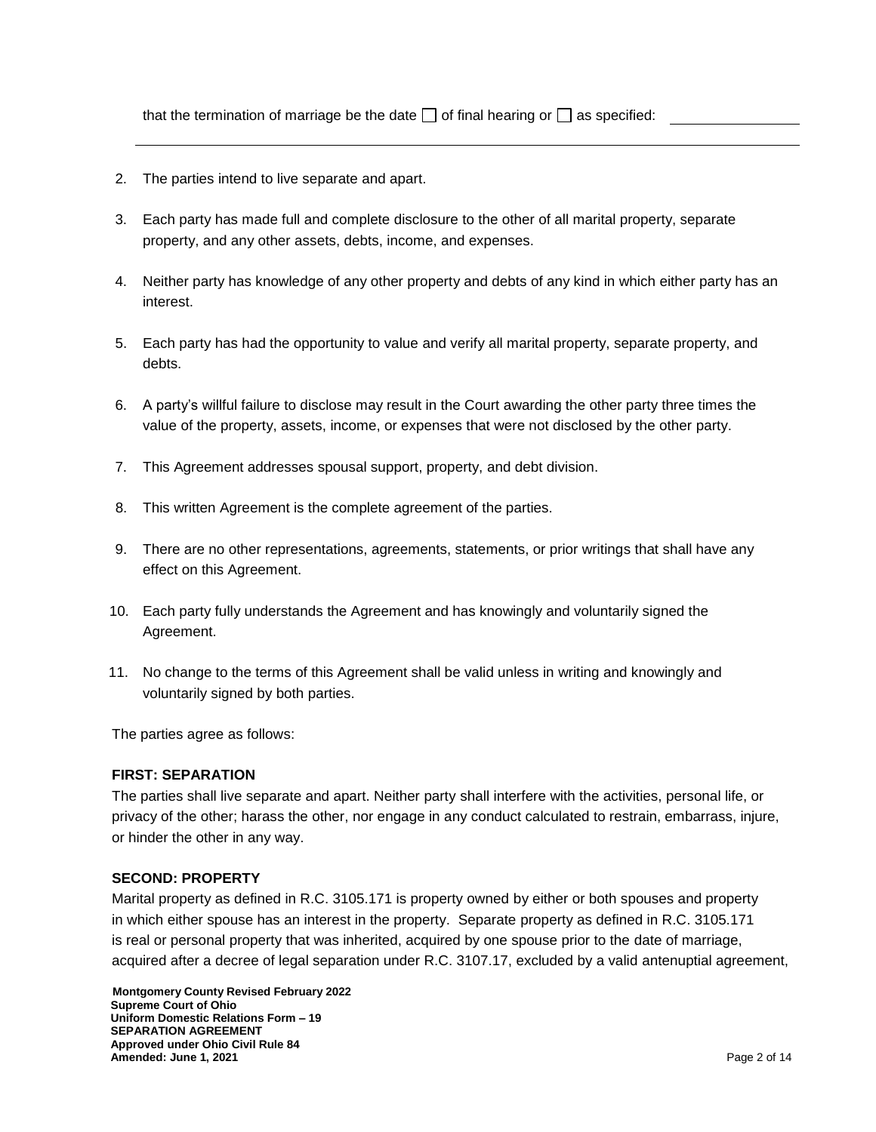that the termination of marriage be the date  $\Box$  of final hearing or  $\Box$  as specified:

- 2. The parties intend to live separate and apart.
- 3. Each party has made full and complete disclosure to the other of all marital property, separate property, and any other assets, debts, income, and expenses.
- 4. Neither party has knowledge of any other property and debts of any kind in which either party has an interest.
- 5. Each party has had the opportunity to value and verify all marital property, separate property, and debts.
- 6. A party's willful failure to disclose may result in the Court awarding the other party three times the value of the property, assets, income, or expenses that were not disclosed by the other party.
- 7. This Agreement addresses spousal support, property, and debt division.
- 8. This written Agreement is the complete agreement of the parties.
- 9. There are no other representations, agreements, statements, or prior writings that shall have any effect on this Agreement.
- 10. Each party fully understands the Agreement and has knowingly and voluntarily signed the Agreement.
- 11. No change to the terms of this Agreement shall be valid unless in writing and knowingly and voluntarily signed by both parties.

The parties agree as follows:

### **FIRST: SEPARATION**

The parties shall live separate and apart. Neither party shall interfere with the activities, personal life, or privacy of the other; harass the other, nor engage in any conduct calculated to restrain, embarrass, injure, or hinder the other in any way.

#### **SECOND: PROPERTY**

Marital property as defined in R.C. 3105.171 is property owned by either or both spouses and property in which either spouse has an interest in the property. Separate property as defined in R.C. 3105.171 is real or personal property that was inherited, acquired by one spouse prior to the date of marriage, acquired after a decree of legal separation under R.C. 3107.17, excluded by a valid antenuptial agreement,

 **Montgomery County Revised February 2022 Supreme Court of Ohio Uniform Domestic Relations Form – 19 SEPARATION AGREEMENT Approved under Ohio Civil Rule 84 Amended: June 1, 2021** Page 2 of 14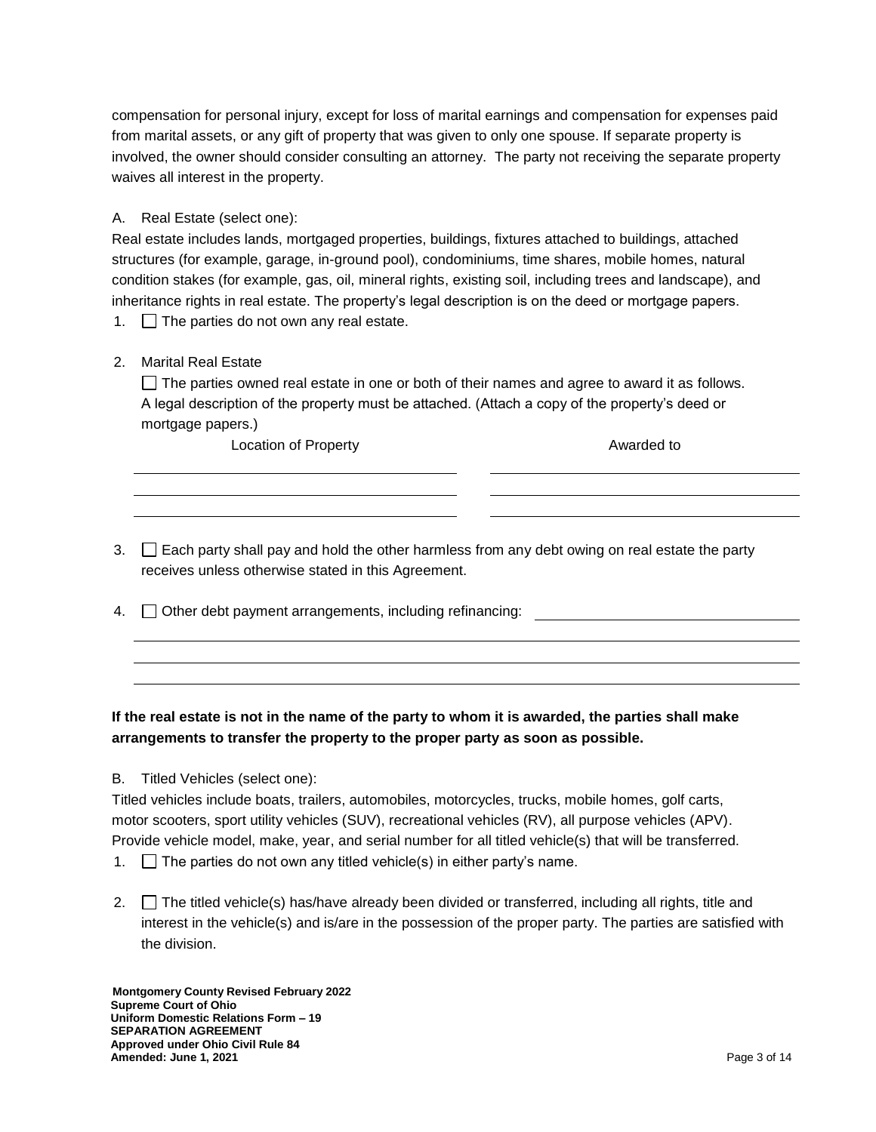compensation for personal injury, except for loss of marital earnings and compensation for expenses paid from marital assets, or any gift of property that was given to only one spouse. If separate property is involved, the owner should consider consulting an attorney. The party not receiving the separate property waives all interest in the property.

### A. Real Estate (select one):

Real estate includes lands, mortgaged properties, buildings, fixtures attached to buildings, attached structures (for example, garage, in-ground pool), condominiums, time shares, mobile homes, natural condition stakes (for example, gas, oil, mineral rights, existing soil, including trees and landscape), and inheritance rights in real estate. The property's legal description is on the deed or mortgage papers.

1.  $\Box$  The parties do not own any real estate.

# 2. Marital Real Estate

 $\Box$  The parties owned real estate in one or both of their names and agree to award it as follows. A legal description of the property must be attached. (Attach a copy of the property's deed or mortgage papers.)

Location of Property **Awarded to** 

- $3.$   $\Box$  Each party shall pay and hold the other harmless from any debt owing on real estate the party receives unless otherwise stated in this Agreement.
- 4.  $\Box$  Other debt payment arrangements, including refinancing:

# **If the real estate is not in the name of the party to whom it is awarded, the parties shall make arrangements to transfer the property to the proper party as soon as possible.**

B. Titled Vehicles (select one):

Titled vehicles include boats, trailers, automobiles, motorcycles, trucks, mobile homes, golf carts, motor scooters, sport utility vehicles (SUV), recreational vehicles (RV), all purpose vehicles (APV). Provide vehicle model, make, year, and serial number for all titled vehicle(s) that will be transferred.

- 1.  $\Box$  The parties do not own any titled vehicle(s) in either party's name.
- 2.  $\Box$  The titled vehicle(s) has/have already been divided or transferred, including all rights, title and interest in the vehicle(s) and is/are in the possession of the proper party. The parties are satisfied with the division.

 **Montgomery County Revised February 2022 Supreme Court of Ohio Uniform Domestic Relations Form – 19 SEPARATION AGREEMENT Approved under Ohio Civil Rule 84 Amended: June 1, 2021** Page 3 of 14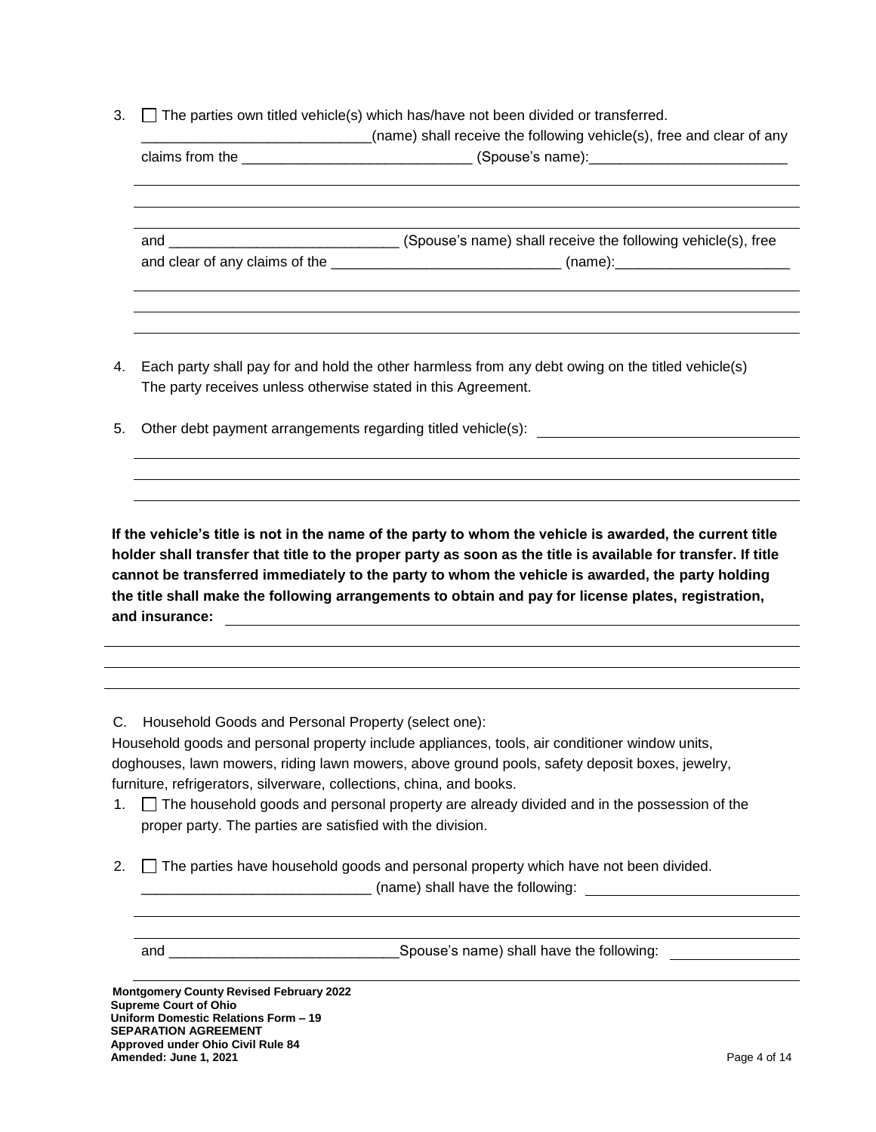3.  $\Box$  The parties own titled vehicle(s) which has/have not been divided or transferred.

|                                                                    | (name) shall receive the following vehicle(s), free and clear of any                                 |
|--------------------------------------------------------------------|------------------------------------------------------------------------------------------------------|
|                                                                    |                                                                                                      |
|                                                                    |                                                                                                      |
|                                                                    |                                                                                                      |
|                                                                    | and clear of any claims of the _________________________________(name):_____________________________ |
|                                                                    |                                                                                                      |
|                                                                    |                                                                                                      |
| 4.                                                                 | Each party shall pay for and hold the other harmless from any debt owing on the titled vehicle(s)    |
| The party receives unless otherwise stated in this Agreement.      |                                                                                                      |
| 5.<br>Other debt payment arrangements regarding titled vehicle(s): |                                                                                                      |

**If the vehicle's title is not in the name of the party to whom the vehicle is awarded, the current title holder shall transfer that title to the proper party as soon as the title is available for transfer. If title cannot be transferred immediately to the party to whom the vehicle is awarded, the party holding the title shall make the following arrangements to obtain and pay for license plates, registration, and insurance:**

C. Household Goods and Personal Property (select one):

Household goods and personal property include appliances, tools, air conditioner window units, doghouses, lawn mowers, riding lawn mowers, above ground pools, safety deposit boxes, jewelry, furniture, refrigerators, silverware, collections, china, and books.

- 1.  $\Box$  The household goods and personal property are already divided and in the possession of the proper party. The parties are satisfied with the division.
- 2.  $\Box$  The parties have household goods and personal property which have not been divided. \_\_\_\_\_\_\_\_\_\_\_\_\_\_\_\_\_\_\_\_\_\_\_\_\_\_\_\_\_ (name) shall have the following:

and \_\_\_\_\_\_\_\_\_\_\_\_\_\_\_\_\_\_\_\_\_\_\_\_\_\_\_\_\_Spouse's name) shall have the following:

 **Montgomery County Revised February 2022 Supreme Court of Ohio Uniform Domestic Relations Form – 19 SEPARATION AGREEMENT Approved under Ohio Civil Rule 84 Amended: June 1, 2021** Page 4 of 14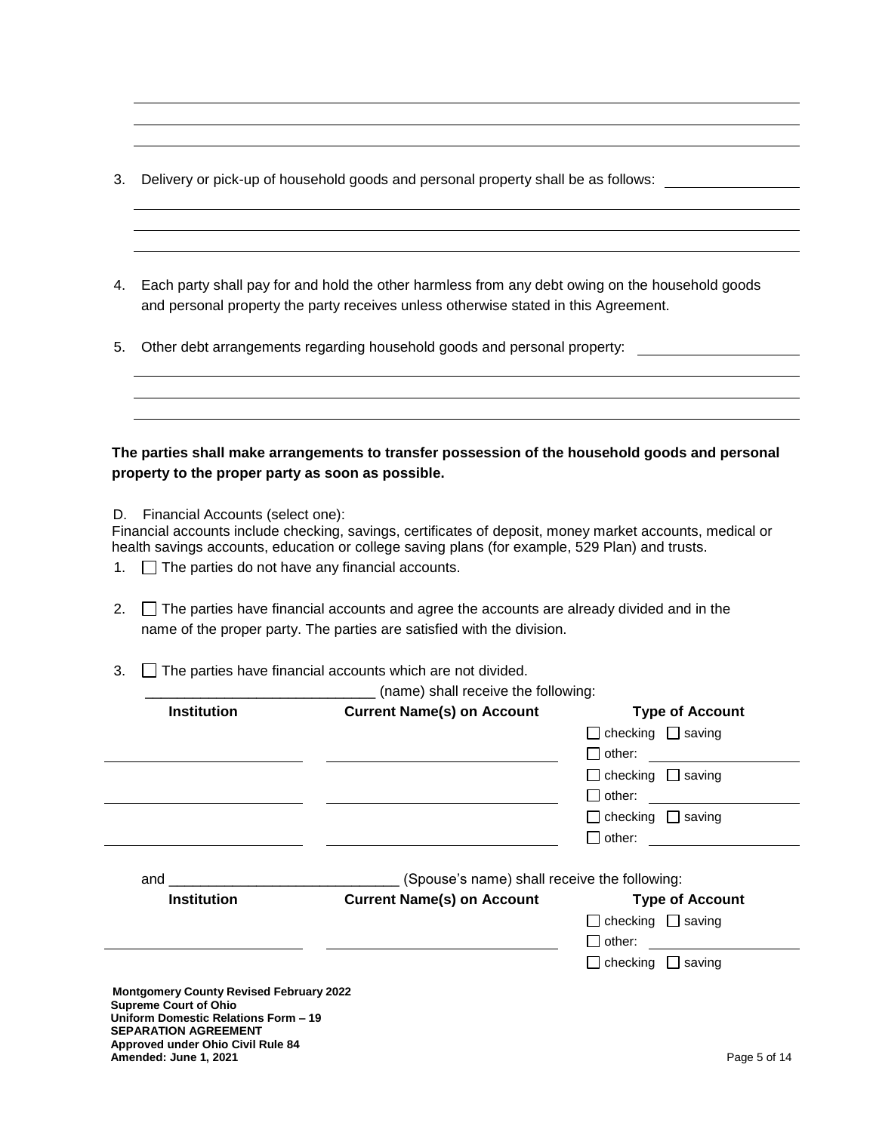- 3. Delivery or pick-up of household goods and personal property shall be as follows:
- 4. Each party shall pay for and hold the other harmless from any debt owing on the household goods and personal property the party receives unless otherwise stated in this Agreement.
- 5. Other debt arrangements regarding household goods and personal property:

# **The parties shall make arrangements to transfer possession of the household goods and personal property to the proper party as soon as possible.**

D. Financial Accounts (select one):

Financial accounts include checking, savings, certificates of deposit, money market accounts, medical or health savings accounts, education or college saving plans (for example, 529 Plan) and trusts.

- 1.  $\Box$  The parties do not have any financial accounts.
- 2.  $\Box$  The parties have financial accounts and agree the accounts are already divided and in the name of the proper party. The parties are satisfied with the division.
- $3.$   $\Box$  The parties have financial accounts which are not divided.

|                                      | $\Box$ checking $\Box$ saving                                                                                                       |
|--------------------------------------|-------------------------------------------------------------------------------------------------------------------------------------|
|                                      |                                                                                                                                     |
|                                      | $\Box$ other:                                                                                                                       |
|                                      | $\Box$ checking $\Box$ saving                                                                                                       |
|                                      | $\Box$ other:                                                                                                                       |
|                                      | $\Box$ checking $\Box$ saving                                                                                                       |
|                                      | $\Box$ other:                                                                                                                       |
|                                      | <b>Type of Account</b>                                                                                                              |
|                                      | $\Box$ checking $\Box$ saving                                                                                                       |
|                                      | $\Box$ other:                                                                                                                       |
|                                      | $\Box$ checking $\Box$ saving                                                                                                       |
|                                      |                                                                                                                                     |
|                                      |                                                                                                                                     |
|                                      |                                                                                                                                     |
| Uniform Domestic Relations Form - 19 |                                                                                                                                     |
|                                      | (Spouse's name) shall receive the following:<br><b>Current Name(s) on Account</b><br><b>Montgomery County Revised February 2022</b> |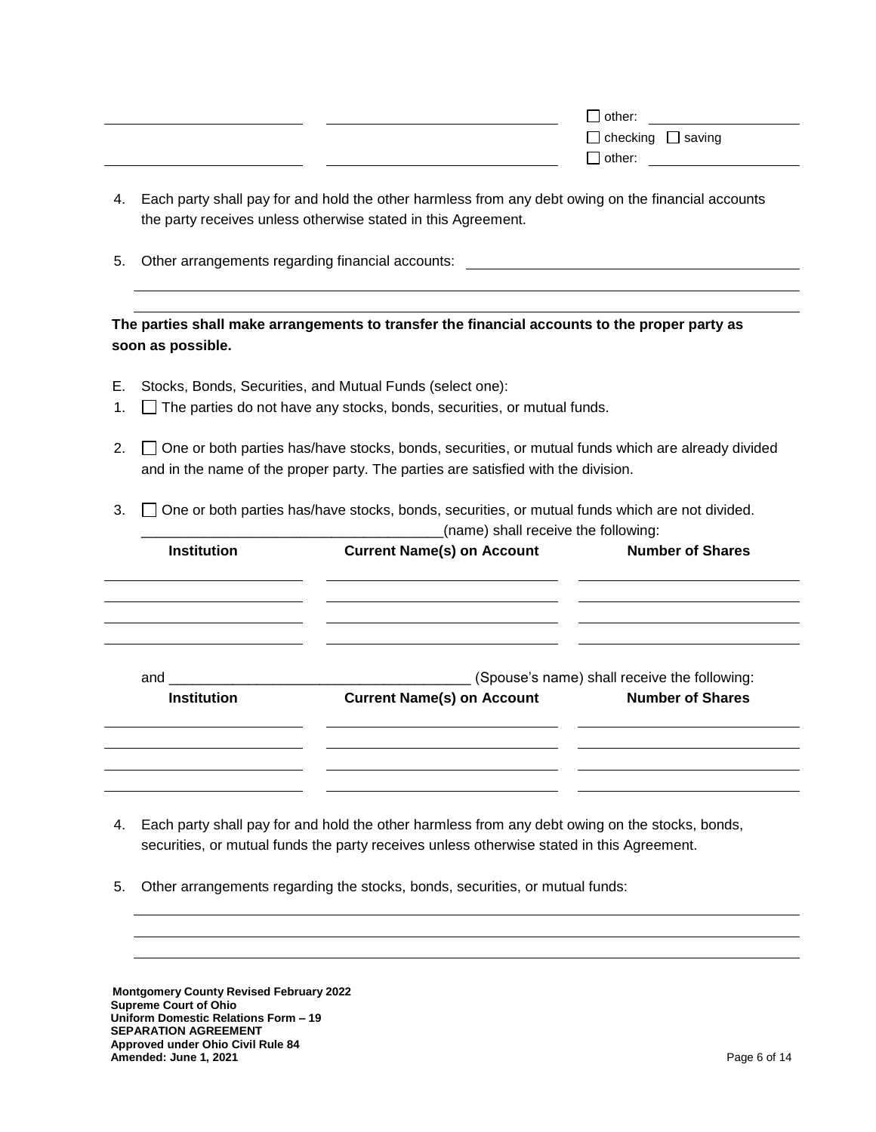| $\Box$ other:                 |
|-------------------------------|
| $\Box$ checking $\Box$ saving |
| $\Box$ other:                 |
|                               |

- 4. Each party shall pay for and hold the other harmless from any debt owing on the financial accounts the party receives unless otherwise stated in this Agreement.
- 5. Other arrangements regarding financial accounts:

# **The parties shall make arrangements to transfer the financial accounts to the proper party as soon as possible.**

- E. Stocks, Bonds, Securities, and Mutual Funds (select one):
- 1. The parties do not have any stocks, bonds, securities, or mutual funds.
- 2.  $\Box$  One or both parties has/have stocks, bonds, securities, or mutual funds which are already divided and in the name of the proper party. The parties are satisfied with the division.
- 3.  $\Box$  One or both parties has/have stocks, bonds, securities, or mutual funds which are not divided.

|                    | (name) shall receive the following:                |                                              |
|--------------------|----------------------------------------------------|----------------------------------------------|
| <b>Institution</b> | <b>Current Name(s) on Account</b>                  | <b>Number of Shares</b>                      |
| and                |                                                    | (Spouse's name) shall receive the following: |
| <b>Institution</b> | <b>Current Name(s) on Account Mumber of Shares</b> |                                              |
|                    |                                                    |                                              |
|                    |                                                    |                                              |

- 4. Each party shall pay for and hold the other harmless from any debt owing on the stocks, bonds, securities, or mutual funds the party receives unless otherwise stated in this Agreement.
- 5. Other arrangements regarding the stocks, bonds, securities, or mutual funds:

 **Montgomery County Revised February 2022 Supreme Court of Ohio Uniform Domestic Relations Form – 19 SEPARATION AGREEMENT Approved under Ohio Civil Rule 84 Amended: June 1, 2021** Page 6 of 14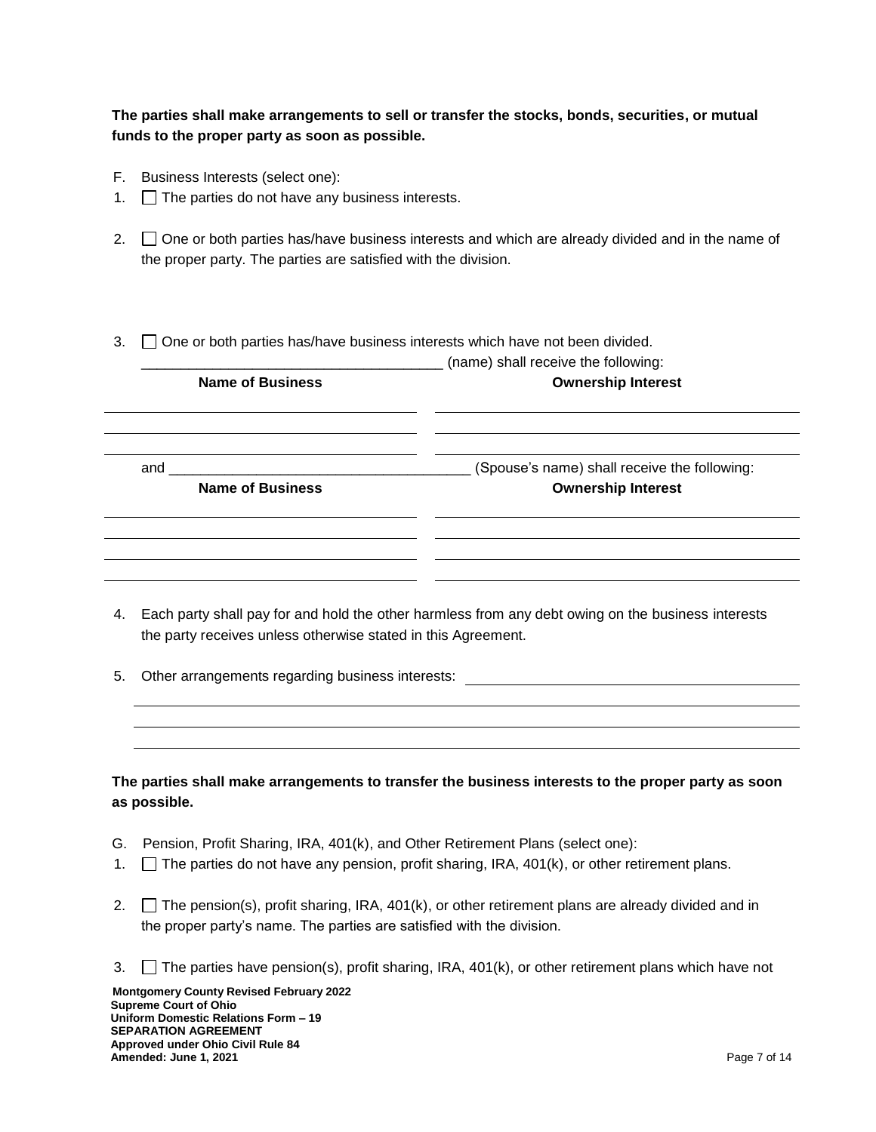**The parties shall make arrangements to sell or transfer the stocks, bonds, securities, or mutual funds to the proper party as soon as possible.**

- F. Business Interests (select one):
- 1.  $\Box$  The parties do not have any business interests.
- 2.  $\Box$  One or both parties has/have business interests and which are already divided and in the name of the proper party. The parties are satisfied with the division.
- $3.$   $\Box$  One or both parties has/have business interests which have not been divided.

| <b>Name of Business</b>        | (name) shall receive the following:<br><b>Ownership Interest</b>          |
|--------------------------------|---------------------------------------------------------------------------|
| and<br><b>Name of Business</b> | (Spouse's name) shall receive the following:<br><b>Ownership Interest</b> |
|                                |                                                                           |
|                                |                                                                           |

- 4. Each party shall pay for and hold the other harmless from any debt owing on the business interests the party receives unless otherwise stated in this Agreement.
- 5. Other arrangements regarding business interests:

**The parties shall make arrangements to transfer the business interests to the proper party as soon as possible.**

- G. Pension, Profit Sharing, IRA, 401(k), and Other Retirement Plans (select one):
- 1.  $\Box$  The parties do not have any pension, profit sharing, IRA, 401(k), or other retirement plans.
- 2.  $\Box$  The pension(s), profit sharing, IRA, 401(k), or other retirement plans are already divided and in the proper party's name. The parties are satisfied with the division.
- 3.  $\Box$  The parties have pension(s), profit sharing, IRA, 401(k), or other retirement plans which have not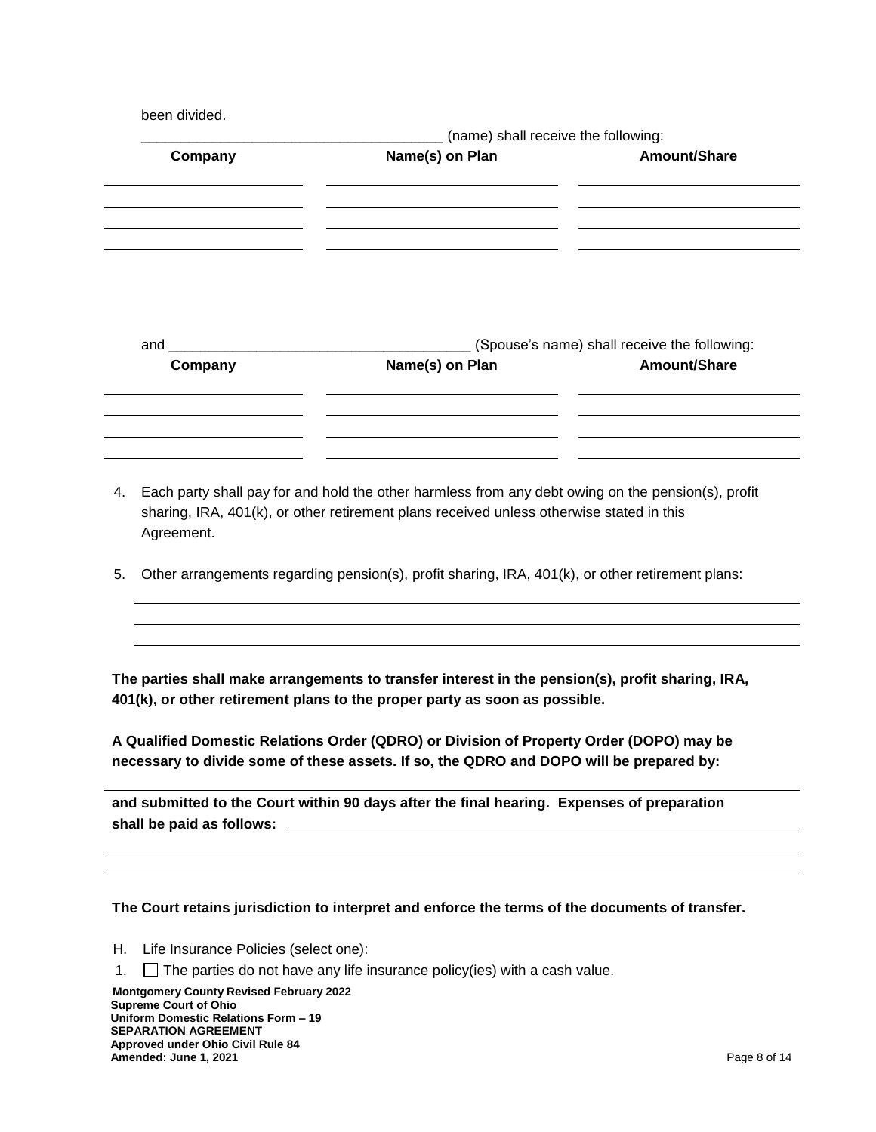been divided.

|                                                                                                                                                                                                                                | (name) shall receive the following: |                                              |
|--------------------------------------------------------------------------------------------------------------------------------------------------------------------------------------------------------------------------------|-------------------------------------|----------------------------------------------|
| Company                                                                                                                                                                                                                        | Name(s) on Plan                     | Amount/Share                                 |
|                                                                                                                                                                                                                                |                                     |                                              |
|                                                                                                                                                                                                                                |                                     |                                              |
|                                                                                                                                                                                                                                |                                     |                                              |
|                                                                                                                                                                                                                                |                                     |                                              |
| and the contract of the contract of the contract of the contract of the contract of the contract of the contract of the contract of the contract of the contract of the contract of the contract of the contract of the contra |                                     | (Spouse's name) shall receive the following: |
| Company                                                                                                                                                                                                                        | Name(s) on Plan                     | Amount/Share                                 |
|                                                                                                                                                                                                                                |                                     |                                              |
|                                                                                                                                                                                                                                |                                     |                                              |
|                                                                                                                                                                                                                                |                                     |                                              |

- 4. Each party shall pay for and hold the other harmless from any debt owing on the pension(s), profit sharing, IRA, 401(k), or other retirement plans received unless otherwise stated in this Agreement.
- 5. Other arrangements regarding pension(s), profit sharing, IRA, 401(k), or other retirement plans:

**The parties shall make arrangements to transfer interest in the pension(s), profit sharing, IRA, 401(k), or other retirement plans to the proper party as soon as possible.**

**A Qualified Domestic Relations Order (QDRO) or Division of Property Order (DOPO) may be necessary to divide some of these assets. If so, the QDRO and DOPO will be prepared by:** 

**and submitted to the Court within 90 days after the final hearing. Expenses of preparation shall be paid as follows:**

### **The Court retains jurisdiction to interpret and enforce the terms of the documents of transfer.**

- H. Life Insurance Policies (select one):
- 1.  $\Box$  The parties do not have any life insurance policy(ies) with a cash value.

 **Montgomery County Revised February 2022 Supreme Court of Ohio Uniform Domestic Relations Form – 19 SEPARATION AGREEMENT Approved under Ohio Civil Rule 84 Amended: June 1, 2021** Page 8 of 14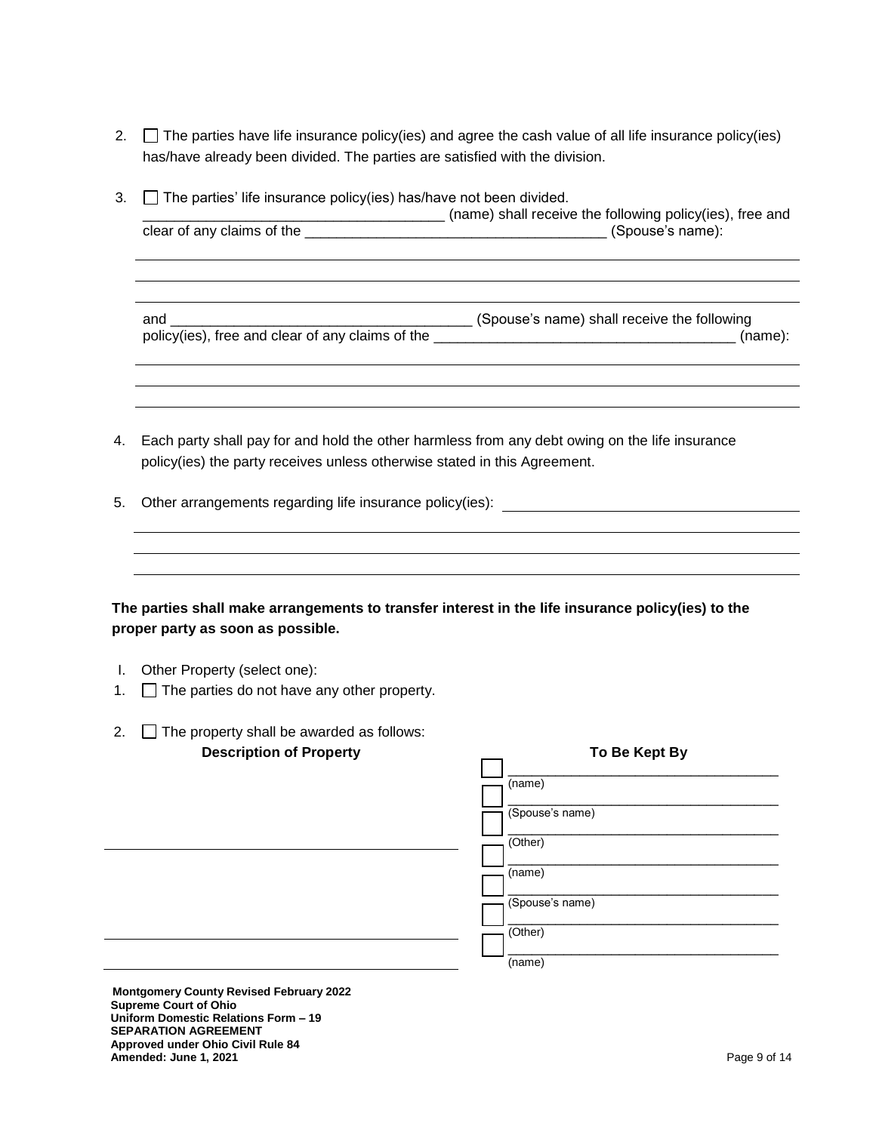- 2.  $\Box$  The parties have life insurance policy(ies) and agree the cash value of all life insurance policy(ies) has/have already been divided. The parties are satisfied with the division.
- 3.  $\Box$  The parties' life insurance policy(ies) has/have not been divided.

\_\_\_\_\_\_\_\_\_\_\_\_\_\_\_\_\_\_\_\_\_\_\_\_\_\_\_\_\_\_\_\_\_\_\_\_\_\_ (name) shall receive the following policy(ies), free and clear of any claims of the \_\_\_\_\_\_\_\_\_\_\_\_\_\_\_\_\_\_\_\_\_\_\_\_\_\_\_\_\_\_\_\_\_\_\_\_\_\_ (Spouse's name):

and \_\_\_\_\_\_\_\_\_\_\_\_\_\_\_\_\_\_\_\_\_\_\_\_\_\_\_\_\_\_\_\_\_\_\_\_\_\_ (Spouse's name) shall receive the following policy(ies), free and clear of any claims of the \_\_\_\_\_\_\_\_\_\_\_\_\_\_\_\_\_\_\_\_\_\_\_\_\_\_\_\_\_\_\_\_\_\_\_\_\_\_ (name):

- 4. Each party shall pay for and hold the other harmless from any debt owing on the life insurance policy(ies) the party receives unless otherwise stated in this Agreement.
- 5. Other arrangements regarding life insurance policy(ies):

**The parties shall make arrangements to transfer interest in the life insurance policy(ies) to the proper party as soon as possible.**

- I. Other Property (select one):
- 1.  $\Box$  The parties do not have any other property.
- 2.  $\Box$  The property shall be awarded as follows: **Description of Property To Be Kept By**

| .<br>$-$ | $-$             |
|----------|-----------------|
|          | (name)          |
|          | (Spouse's name) |
|          | (Other)         |
|          | (name)          |
|          | (Spouse's name) |
|          | (Other)         |
|          | (name)          |
|          |                 |

 **Montgomery County Revised February 2022 Supreme Court of Ohio Uniform Domestic Relations Form – 19 SEPARATION AGREEMENT Approved under Ohio Civil Rule 84 Amended: June 1, 2021** Page 9 of 14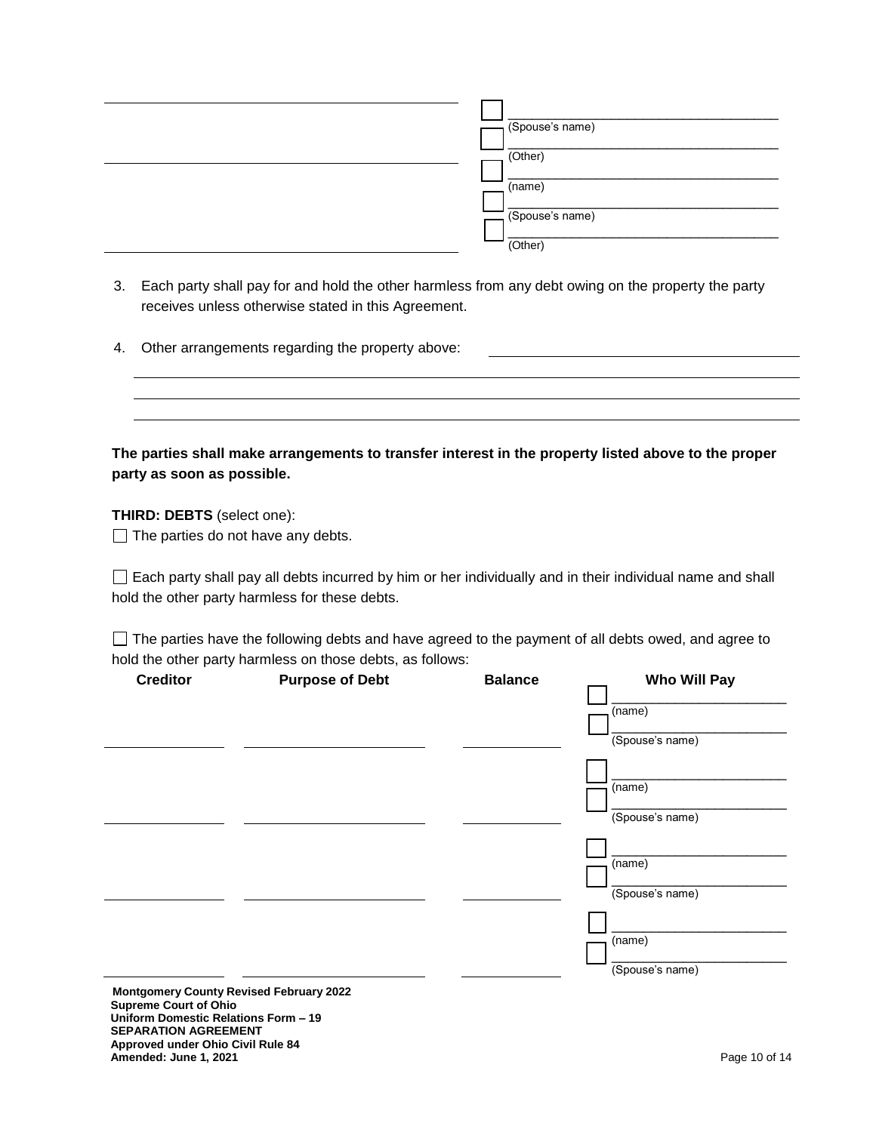| (Spouse's name) |
|-----------------|
| (Other)         |
| (name)          |
| (Spouse's name) |
| (Other)         |

- 3. Each party shall pay for and hold the other harmless from any debt owing on the property the party receives unless otherwise stated in this Agreement.
- 4. Other arrangements regarding the property above:

| The parties shall make arrangements to transfer interest in the property listed above to the proper |  |
|-----------------------------------------------------------------------------------------------------|--|
| party as soon as possible.                                                                          |  |

**THIRD: DEBTS** (select one):

 $\Box$  The parties do not have any debts.

 $\Box$  Each party shall pay all debts incurred by him or her individually and in their individual name and shall hold the other party harmless for these debts.

The parties have the following debts and have agreed to the payment of all debts owed, and agree to hold the other party harmless on those debts, as follows:

| <b>Creditor</b> | <b>Purpose of Debt</b>                         | <b>Balance</b> | <b>Who Will Pay</b> |
|-----------------|------------------------------------------------|----------------|---------------------|
|                 |                                                |                | (name)              |
|                 |                                                |                | (Spouse's name)     |
|                 |                                                |                |                     |
|                 |                                                |                | (name)              |
|                 |                                                |                | (Spouse's name)     |
|                 |                                                |                |                     |
|                 |                                                |                | (name)              |
|                 |                                                |                | (Spouse's name)     |
|                 |                                                |                |                     |
|                 |                                                |                | (name)              |
|                 |                                                |                | (Spouse's name)     |
|                 | <b>Montgomery County Revised February 2022</b> |                |                     |

**Supreme Court of Ohio Uniform Domestic Relations Form – 19 SEPARATION AGREEMENT Approved under Ohio Civil Rule 84 Amended: June 1, 2021 Page 10 of 14**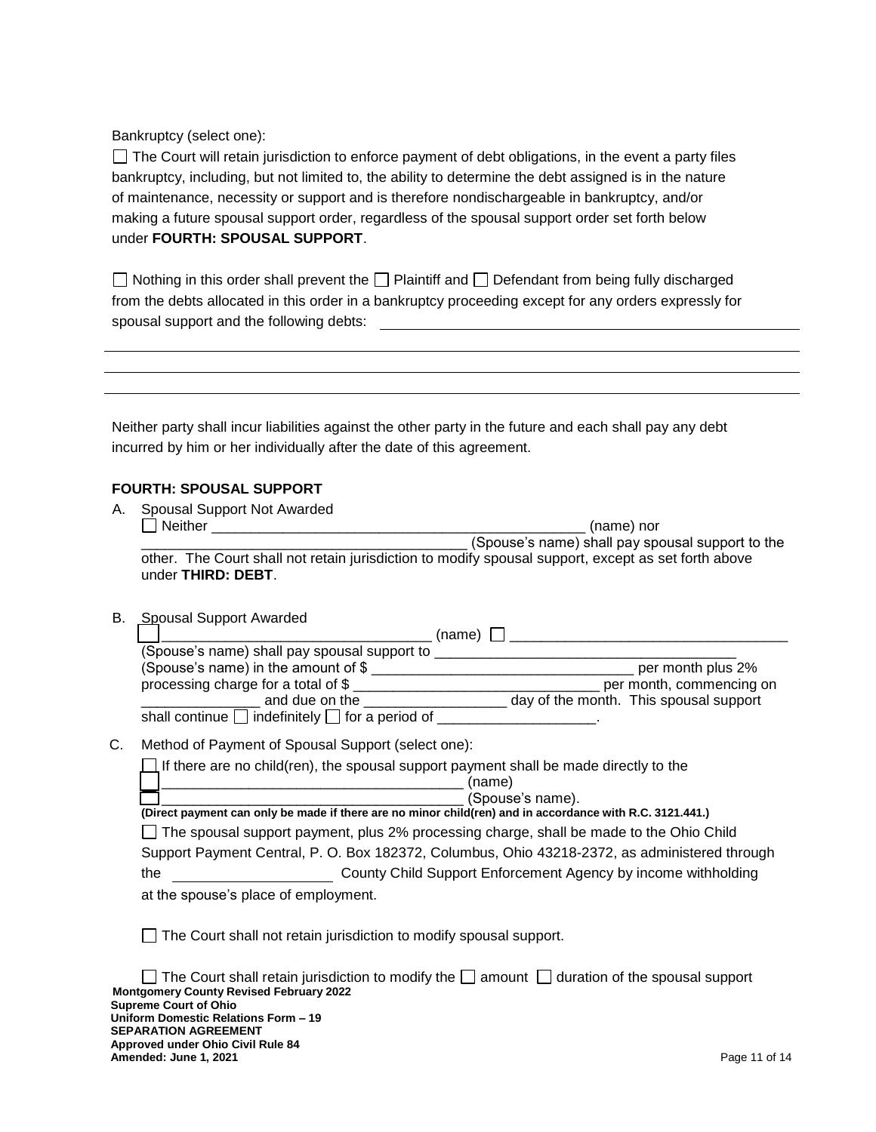Bankruptcy (select one):

The Court will retain jurisdiction to enforce payment of debt obligations, in the event a party files bankruptcy, including, but not limited to, the ability to determine the debt assigned is in the nature of maintenance, necessity or support and is therefore nondischargeable in bankruptcy, and/or making a future spousal support order, regardless of the spousal support order set forth below under **FOURTH: SPOUSAL SUPPORT**.

Nothing in this order shall prevent the  $\Box$  Plaintiff and  $\Box$  Defendant from being fully discharged from the debts allocated in this order in a bankruptcy proceeding except for any orders expressly for spousal support and the following debts:

Neither party shall incur liabilities against the other party in the future and each shall pay any debt incurred by him or her individually after the date of this agreement.

# **FOURTH: SPOUSAL SUPPORT**

| А. | Spousal Support Not Awarded |                                                                                                     |
|----|-----------------------------|-----------------------------------------------------------------------------------------------------|
|    | I Neither                   | (name) nor                                                                                          |
|    |                             | (Spouse's name) shall pay spousal support to the                                                    |
|    | under THIRD: DEBT.          | other. The Court shall not retain jurisdiction to modify spousal support, except as set forth above |

B. Spousal Support Awarded

|                                                           | (name)                                 |
|-----------------------------------------------------------|----------------------------------------|
| (Spouse's name) shall pay spousal support to              |                                        |
| (Spouse's name) in the amount of \$                       | per month plus 2%                      |
| processing charge for a total of \$                       | per month, commencing on               |
| and due on the                                            | day of the month. This spousal support |
| shall continue $\Box$ indefinitely $\Box$ for a period of |                                        |

# C. Method of Payment of Spousal Support (select one):

 $\Box$  If there are no child(ren), the spousal support payment shall be made directly to the

| _____ |  |
|-------|--|
|       |  |

\_\_\_\_\_\_\_\_\_\_\_\_\_\_\_\_\_\_\_\_\_\_\_\_\_\_\_\_\_\_\_\_\_\_\_\_\_\_ (Spouse's name). **(Direct payment can only be made if there are no minor child(ren) and in accordance with R.C. 3121.441.)**  $\Box$  The spousal support payment, plus 2% processing charge, shall be made to the Ohio Child Support Payment Central, P. O. Box 182372, Columbus, Ohio 43218-2372, as administered through the County Child Support Enforcement Agency by income withholding

at the spouse's place of employment.

The Court shall not retain jurisdiction to modify spousal support.

| $\Box$ The Court shall retain jurisdiction to modify the $\Box$ amount $\Box$ duration of the spousal support |               |
|---------------------------------------------------------------------------------------------------------------|---------------|
| <b>Montgomery County Revised February 2022</b>                                                                |               |
| <b>Supreme Court of Ohio</b>                                                                                  |               |
| Uniform Domestic Relations Form - 19                                                                          |               |
| <b>SEPARATION AGREEMENT</b>                                                                                   |               |
| Approved under Ohio Civil Rule 84                                                                             |               |
| Amended: June 1, 2021                                                                                         | Page 11 of 14 |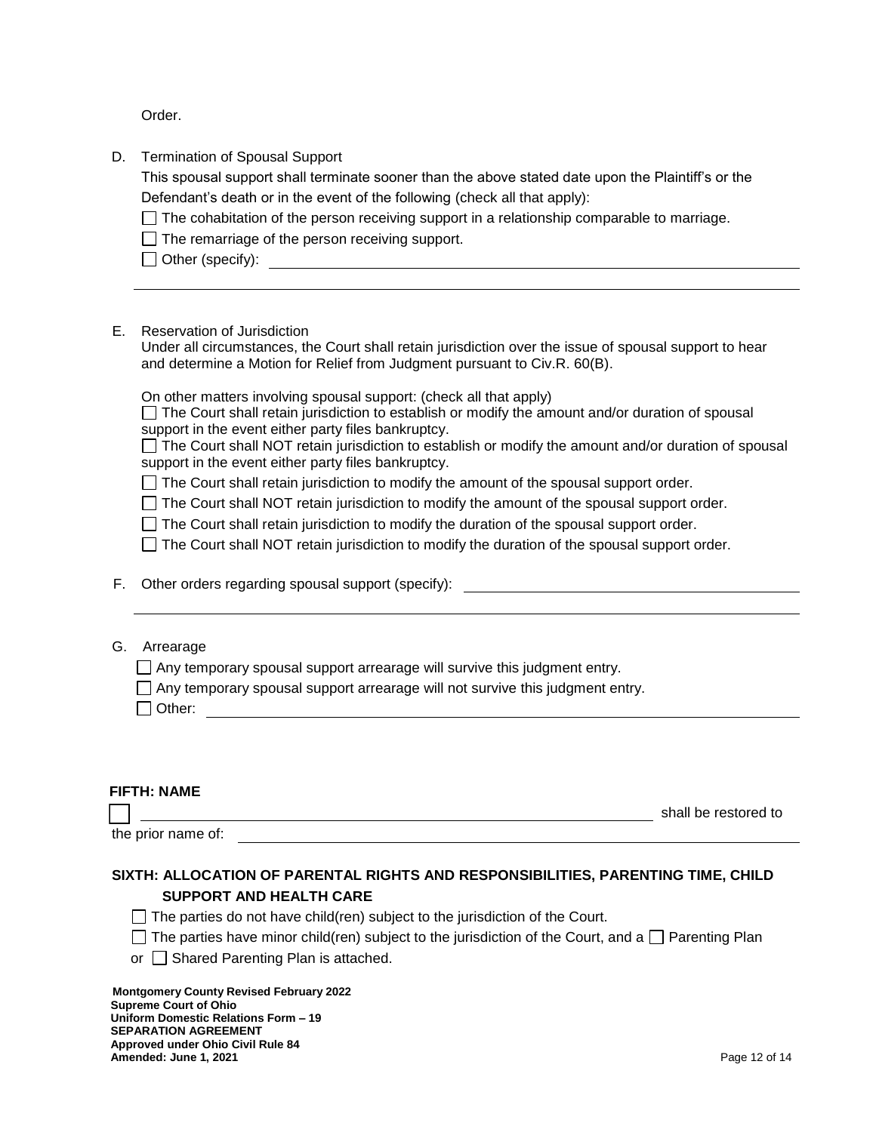Order.

D. Termination of Spousal Support

This spousal support shall terminate sooner than the above stated date upon the Plaintiff's or the Defendant's death or in the event of the following (check all that apply):

 $\Box$  The cohabitation of the person receiving support in a relationship comparable to marriage.

 $\Box$  The remarriage of the person receiving support.

 $\Box$  Other (specify):

E. Reservation of Jurisdiction

Under all circumstances, the Court shall retain jurisdiction over the issue of spousal support to hear and determine a Motion for Relief from Judgment pursuant to Civ.R. 60(B).

On other matters involving spousal support: (check all that apply)

 $\Box$  The Court shall retain jurisdiction to establish or modify the amount and/or duration of spousal support in the event either party files bankruptcy.

 $\Box$  The Court shall NOT retain jurisdiction to establish or modify the amount and/or duration of spousal support in the event either party files bankruptcy.

 $\Box$  The Court shall retain jurisdiction to modify the amount of the spousal support order.

The Court shall NOT retain jurisdiction to modify the amount of the spousal support order.

 $\Box$  The Court shall retain jurisdiction to modify the duration of the spousal support order.

 $\Box$  The Court shall NOT retain jurisdiction to modify the duration of the spousal support order.

F. Other orders regarding spousal support (specify):

### G. Arrearage

 $\Box$  Any temporary spousal support arrearage will survive this judgment entry.

 $\Box$  Any temporary spousal support arrearage will not survive this judgment entry.

Other:

# **FIFTH: NAME**

shall be restored to the state of the state of the state of the state of the state of the state of the state of the state of the state of the state of the state of the state of the state of the state of the state of the st

the prior name of:

# **SIXTH: ALLOCATION OF PARENTAL RIGHTS AND RESPONSIBILITIES, PARENTING TIME, CHILD SUPPORT AND HEALTH CARE**

 $\Box$  The parties do not have child(ren) subject to the jurisdiction of the Court.

- $\Box$  The parties have minor child(ren) subject to the jurisdiction of the Court, and a  $\Box$  Parenting Plan
- or  $\Box$  Shared Parenting Plan is attached.

 **Montgomery County Revised February 2022 Supreme Court of Ohio Uniform Domestic Relations Form – 19 SEPARATION AGREEMENT Approved under Ohio Civil Rule 84 Amended: June 1, 2021 Page 12 of 14**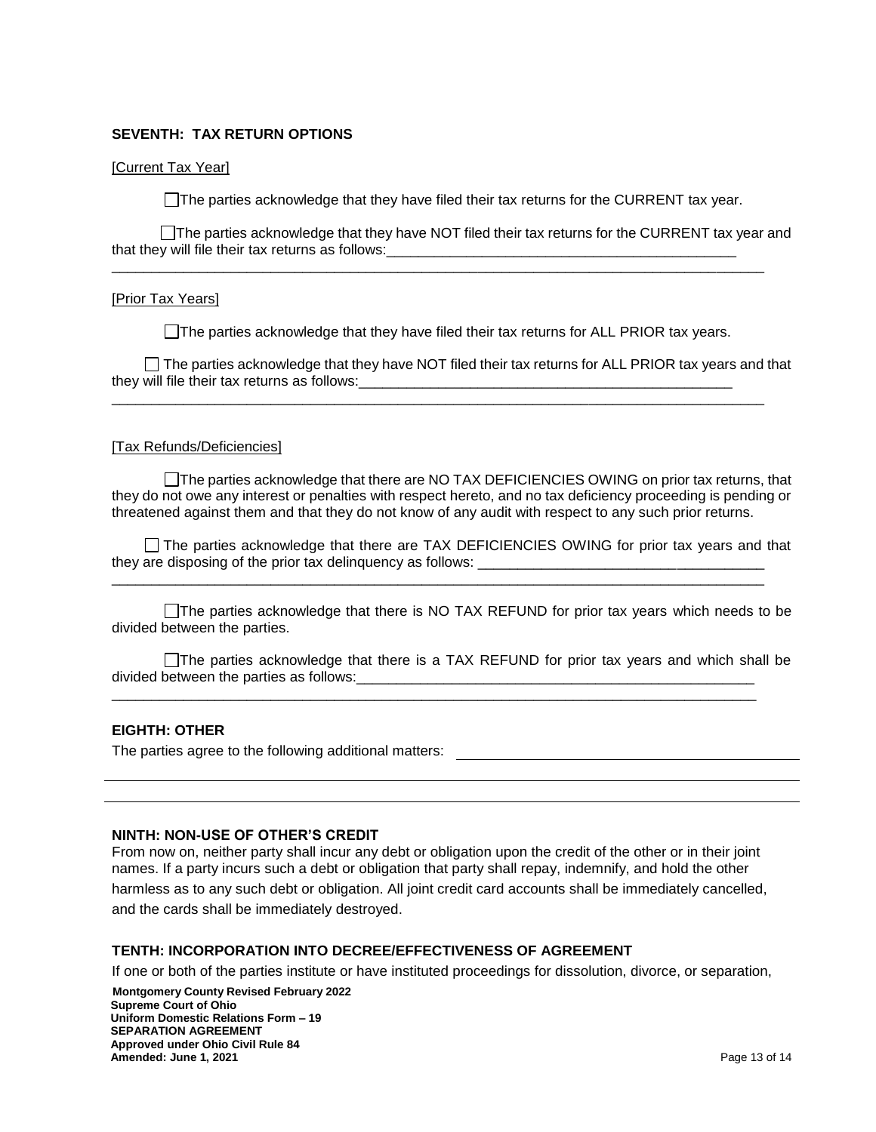### **SEVENTH: TAX RETURN OPTIONS**

#### [Current Tax Year]

 $\Box$  The parties acknowledge that they have filed their tax returns for the CURRENT tax year.

The parties acknowledge that they have NOT filed their tax returns for the CURRENT tax year and that they will file their tax returns as follows:\_\_\_\_\_\_\_\_\_\_\_\_\_\_\_\_\_\_\_\_\_\_\_\_\_\_\_\_\_\_\_\_\_\_\_\_\_\_\_\_\_\_\_\_

\_\_\_\_\_\_\_\_\_\_\_\_\_\_\_\_\_\_\_\_\_\_\_\_\_\_\_\_\_\_\_\_\_\_\_\_\_\_\_\_\_\_\_\_\_\_\_\_\_\_\_\_\_\_\_\_\_\_\_\_\_\_\_\_\_\_\_\_\_\_\_\_\_\_\_\_\_\_\_\_\_\_

#### [Prior Tax Years]

 $\Box$  The parties acknowledge that they have filed their tax returns for ALL PRIOR tax years.

 $\Box$  The parties acknowledge that they have NOT filed their tax returns for ALL PRIOR tax years and that they will file their tax returns as follows: \_\_\_\_\_\_\_\_\_\_\_\_\_\_\_\_\_\_\_\_\_\_\_\_\_\_\_\_\_\_\_\_\_\_\_

\_\_\_\_\_\_\_\_\_\_\_\_\_\_\_\_\_\_\_\_\_\_\_\_\_\_\_\_\_\_\_\_\_\_\_\_\_\_\_\_\_\_\_\_\_\_\_\_\_\_\_\_\_\_\_\_\_\_\_\_\_\_\_\_\_\_\_\_\_\_\_\_\_\_\_\_\_\_\_\_\_\_

#### [Tax Refunds/Deficiencies]

The parties acknowledge that there are NO TAX DEFICIENCIES OWING on prior tax returns, that they do not owe any interest or penalties with respect hereto, and no tax deficiency proceeding is pending or threatened against them and that they do not know of any audit with respect to any such prior returns.

 The parties acknowledge that there are TAX DEFICIENCIES OWING for prior tax years and that they are disposing of the prior tax delinquency as follows: \_\_\_\_\_\_\_\_\_\_\_\_\_\_\_\_\_\_\_\_\_\_\_\_\_\_\_\_\_\_\_\_\_\_\_\_

\_\_\_\_\_\_\_\_\_\_\_\_\_\_\_\_\_\_\_\_\_\_\_\_\_\_\_\_\_\_\_\_\_\_\_\_\_\_\_\_\_\_\_\_\_\_\_\_\_\_\_\_\_\_\_\_\_\_\_\_\_\_\_\_\_\_\_\_\_\_\_\_\_\_\_\_\_\_\_\_\_\_

The parties acknowledge that there is NO TAX REFUND for prior tax years which needs to be divided between the parties.

The parties acknowledge that there is a TAX REFUND for prior tax years and which shall be divided between the parties as follows:

\_\_\_\_\_\_\_\_\_\_\_\_\_\_\_\_\_\_\_\_\_\_\_\_\_\_\_\_\_\_\_\_\_\_\_\_\_\_\_\_\_\_\_\_\_\_\_\_\_\_\_\_\_\_\_\_\_\_\_\_\_\_\_\_\_\_\_\_\_\_\_\_\_\_\_\_\_\_\_\_\_

## **EIGHTH: OTHER**

The parties agree to the following additional matters:

#### **NINTH: NON-USE OF OTHER'S CREDIT**

From now on, neither party shall incur any debt or obligation upon the credit of the other or in their joint names. If a party incurs such a debt or obligation that party shall repay, indemnify, and hold the other harmless as to any such debt or obligation. All joint credit card accounts shall be immediately cancelled, and the cards shall be immediately destroyed.

### **TENTH: INCORPORATION INTO DECREE/EFFECTIVENESS OF AGREEMENT**

If one or both of the parties institute or have instituted proceedings for dissolution, divorce, or separation,

 **Montgomery County Revised February 2022 Supreme Court of Ohio Uniform Domestic Relations Form – 19 SEPARATION AGREEMENT Approved under Ohio Civil Rule 84 Amended: June 1, 2021 Page 13 of 14**